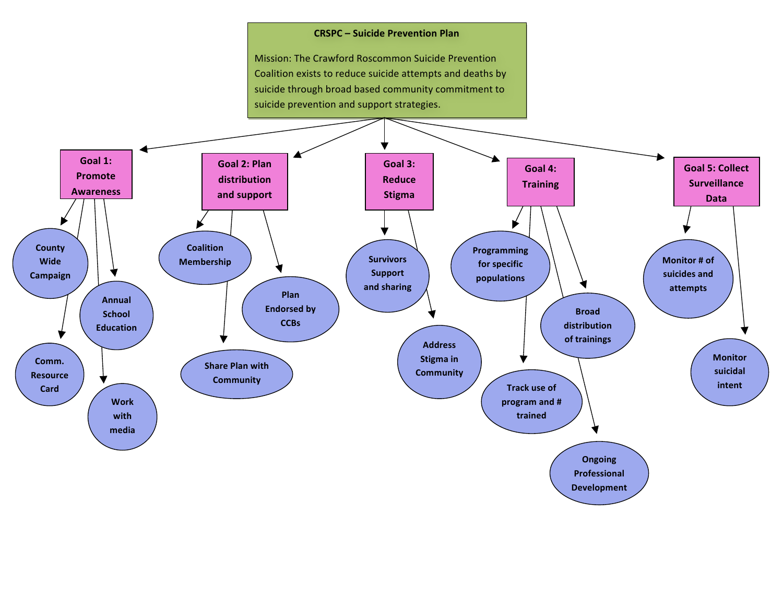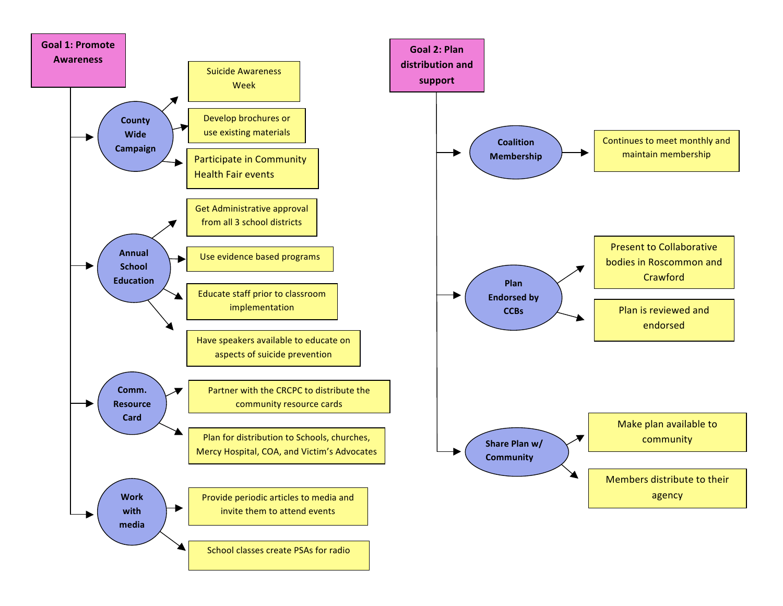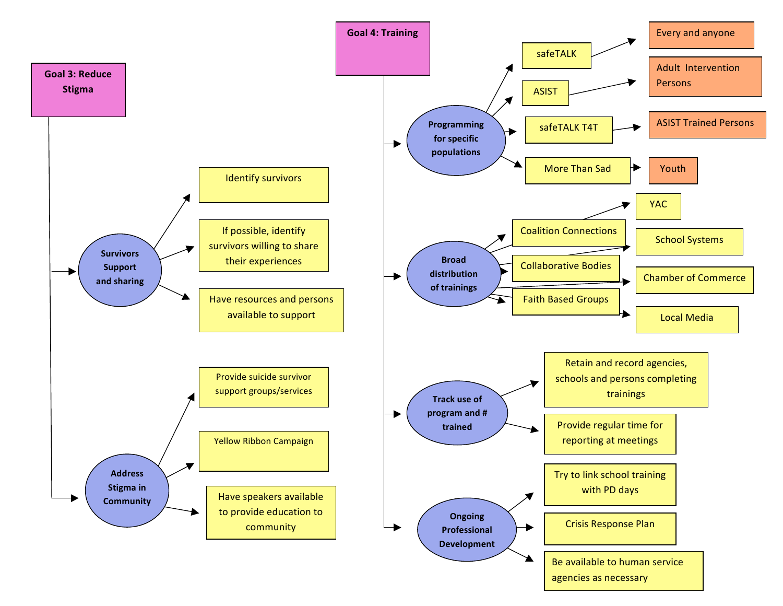